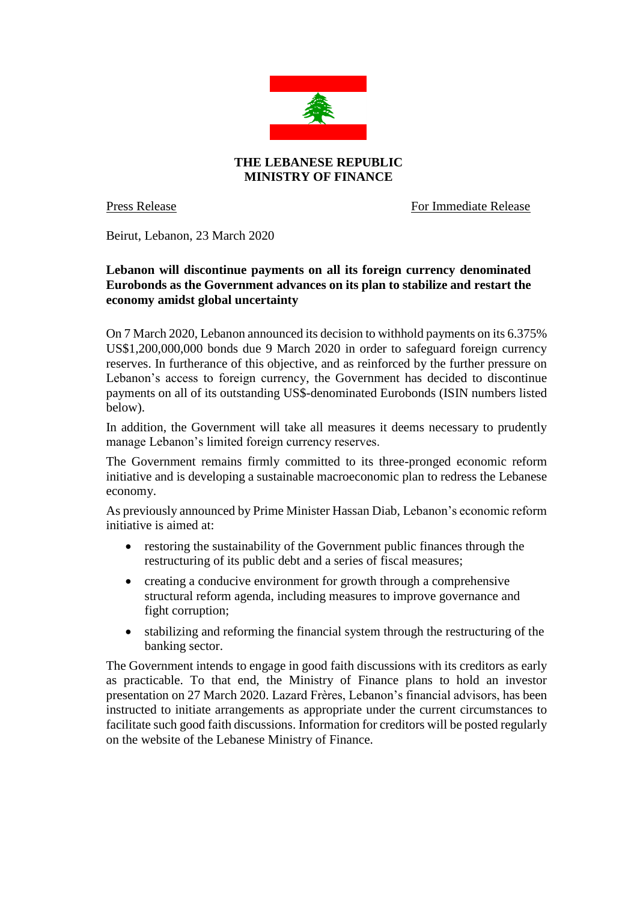

Press Release For Immediate Release

Beirut, Lebanon, 23 March 2020

## **Lebanon will discontinue payments on all its foreign currency denominated Eurobonds as the Government advances on its plan to stabilize and restart the economy amidst global uncertainty**

On 7 March 2020, Lebanon announced its decision to withhold payments on its 6.375% US\$1,200,000,000 bonds due 9 March 2020 in order to safeguard foreign currency reserves. In furtherance of this objective, and as reinforced by the further pressure on Lebanon's access to foreign currency, the Government has decided to discontinue payments on all of its outstanding US\$-denominated Eurobonds (ISIN numbers listed below).

In addition, the Government will take all measures it deems necessary to prudently manage Lebanon's limited foreign currency reserves.

The Government remains firmly committed to its three-pronged economic reform initiative and is developing a sustainable macroeconomic plan to redress the Lebanese economy.

As previously announced by Prime Minister Hassan Diab, Lebanon's economic reform initiative is aimed at:

- restoring the sustainability of the Government public finances through the restructuring of its public debt and a series of fiscal measures;
- creating a conducive environment for growth through a comprehensive structural reform agenda, including measures to improve governance and fight corruption;
- stabilizing and reforming the financial system through the restructuring of the banking sector.

The Government intends to engage in good faith discussions with its creditors as early as practicable. To that end, the Ministry of Finance plans to hold an investor presentation on 27 March 2020. Lazard Frères, Lebanon's financial advisors, has been instructed to initiate arrangements as appropriate under the current circumstances to facilitate such good faith discussions. Information for creditors will be posted regularly on the website of the Lebanese Ministry of Finance.